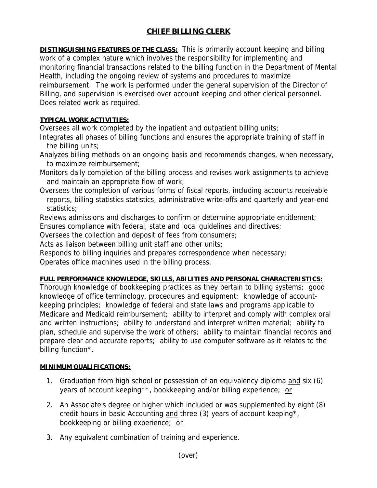## **CHIEF BILLING CLERK**

**DISTINGUISHING FEATURES OF THE CLASS:** This is primarily account keeping and billing work of a complex nature which involves the responsibility for implementing and monitoring financial transactions related to the billing function in the Department of Mental Health, including the ongoing review of systems and procedures to maximize reimbursement. The work is performed under the general supervision of the Director of Billing, and supervision is exercised over account keeping and other clerical personnel. Does related work as required.

## **TYPICAL WORK ACTIVITIES:**

Oversees all work completed by the inpatient and outpatient billing units;

Integrates all phases of billing functions and ensures the appropriate training of staff in the billing units;

Analyzes billing methods on an ongoing basis and recommends changes, when necessary, to maximize reimbursement;

- Monitors daily completion of the billing process and revises work assignments to achieve and maintain an appropriate flow of work;
- Oversees the completion of various forms of fiscal reports, including accounts receivable reports, billing statistics statistics, administrative write-offs and quarterly and year-end statistics;

Reviews admissions and discharges to confirm or determine appropriate entitlement;

Ensures compliance with federal, state and local guidelines and directives;

Oversees the collection and deposit of fees from consumers;

Acts as liaison between billing unit staff and other units;

Responds to billing inquiries and prepares correspondence when necessary;

Operates office machines used in the billing process.

## **FULL PERFORMANCE KNOWLEDGE, SKILLS, ABILITIES AND PERSONAL CHARACTERISTICS:**

Thorough knowledge of bookkeeping practices as they pertain to billing systems; good knowledge of office terminology, procedures and equipment; knowledge of accountkeeping principles; knowledge of federal and state laws and programs applicable to Medicare and Medicaid reimbursement; ability to interpret and comply with complex oral and written instructions; ability to understand and interpret written material; ability to plan, schedule and supervise the work of others; ability to maintain financial records and prepare clear and accurate reports; ability to use computer software as it relates to the billing function\*.

## **MINIMUM QUALIFICATIONS:**

- 1. Graduation from high school or possession of an equivalency diploma and six (6) years of account keeping\*\*, bookkeeping and/or billing experience; or
- 2. An Associate's degree or higher which included or was supplemented by eight (8) credit hours in basic Accounting and three (3) years of account keeping\*, bookkeeping or billing experience; or
- 3. Any equivalent combination of training and experience.